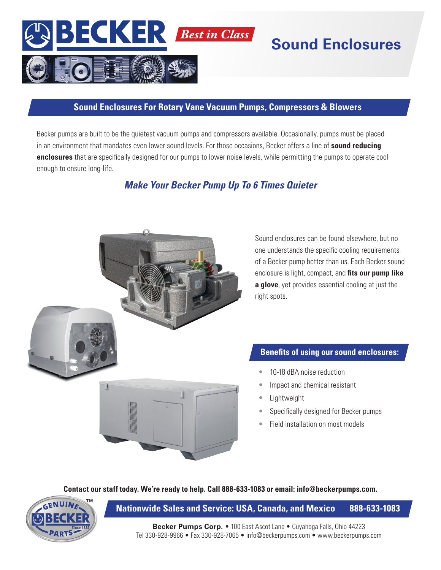

# **Sound Enclosures**

### **Sound Enclosures For Rotary Vane Vacuum Pumps, Compressors & Blowers**

Becker pumps are built to be the quietest vacuum pumps and compressors available. Occasionally, pumps must be placed in an environment that mandates even lower sound levels. For those occasions, Becker offers a line of **sound reducing enclosures** that are specifically designed for our pumps to lower noise levels, while permitting the pumps to operate cool enough to ensure long-life.

# *Make Your Becker Pump Up To 6 Times Quieter*



Sound enclosures can be found elsewhere, but no one understands the specific cooling requirements of a Becker pump better than us. Each Becker sound enclosure is light, compact, and **fits our pump like a glove**, yet provides essential cooling at just the right spots.

## **Benefits of using our sound enclosures:**

- 10-18 dBA noise reduction
- Impact and chemical resistant
- **Lightweight**
- Specifically designed for Becker pumps
- Field installation on most models

**Contact our staff today. We're ready to help. Call 888-633-1083 or email: info@beckerpumps.com.**



**Nationwide Sales and Service: USA, Canada, and Mexico 888-633-1083**

**Becker Pumps Corp.** • 100 East Ascot Lane • Cuyahoga Falls, Ohio 44223 Tel 330-928-9966 • Fax 330-928-7065 • info@beckerpumps.com • www.beckerpumps.com